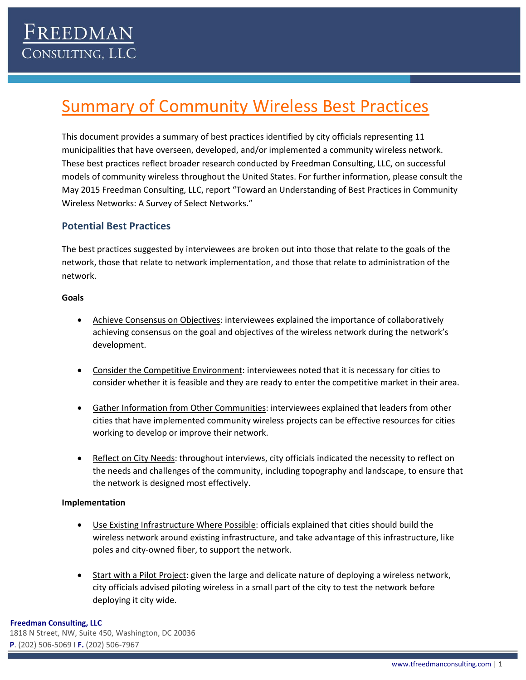# Summary of Community Wireless Best Practices

This document provides a summary of best practices identified by city officials representing 11 municipalities that have overseen, developed, and/or implemented a community wireless network. These best practices reflect broader research conducted by Freedman Consulting, LLC, on successful models of community wireless throughout the United States. For further information, please consult the May 2015 Freedman Consulting, LLC, report "Toward an Understanding of Best Practices in Community Wireless Networks: A Survey of Select Networks."

### **Potential Best Practices**

The best practices suggested by interviewees are broken out into those that relate to the goals of the network, those that relate to network implementation, and those that relate to administration of the network.

#### **Goals**

- Achieve Consensus on Objectives: interviewees explained the importance of collaboratively achieving consensus on the goal and objectives of the wireless network during the network's development.
- **•** Consider the Competitive Environment: interviewees noted that it is necessary for cities to consider whether it is feasible and they are ready to enter the competitive market in their area.
- Gather Information from Other Communities: interviewees explained that leaders from other cities that have implemented community wireless projects can be effective resources for cities working to develop or improve their network.
- Reflect on City Needs: throughout interviews, city officials indicated the necessity to reflect on the needs and challenges of the community, including topography and landscape, to ensure that the network is designed most effectively.

#### **Implementation**

- Use Existing Infrastructure Where Possible: officials explained that cities should build the wireless network around existing infrastructure, and take advantage of this infrastructure, like poles and city-owned fiber, to support the network.
- Start with a Pilot Project: given the large and delicate nature of deploying a wireless network, city officials advised piloting wireless in a small part of the city to test the network before deploying it city wide.

#### **Freedman Consulting, LLC**

1818 N Street, NW, Suite 450, Washington, DC 20036 **P**. (202) 506-5069 I **F.** (202) 506-7967